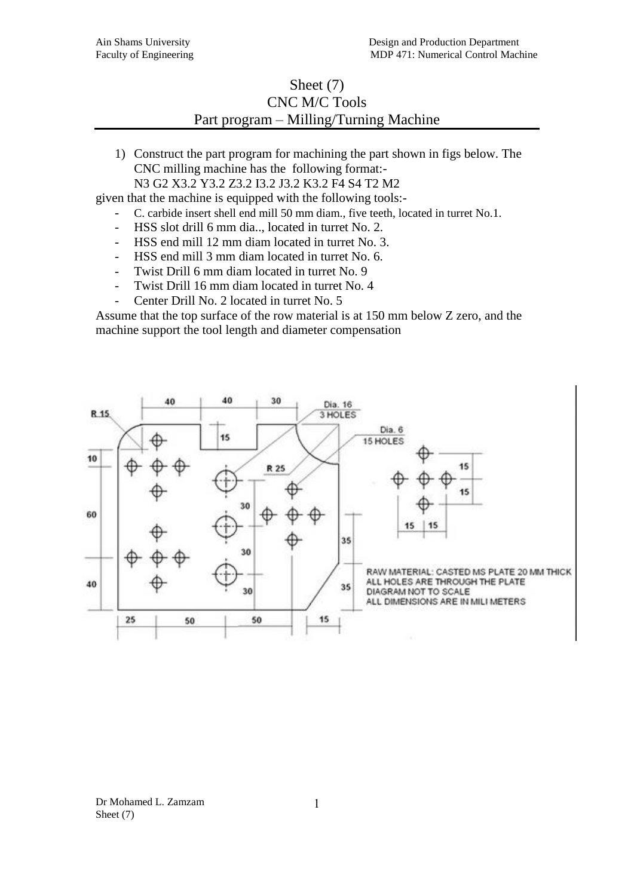## Sheet (7) CNC M/C Tools Part program – Milling/Turning Machine

1) Construct the part program for machining the part shown in figs below. The CNC milling machine has the following format:-

N3 G2 X3.2 Y3.2 Z3.2 I3.2 J3.2 K3.2 F4 S4 T2 M2

given that the machine is equipped with the following tools:-

- C. carbide insert shell end mill 50 mm diam., five teeth, located in turret No.1.
- HSS slot drill 6 mm dia.., located in turret No. 2.
- HSS end mill 12 mm diam located in turret No. 3.
- HSS end mill 3 mm diam located in turret No. 6.
- Twist Drill 6 mm diam located in turret No. 9
- Twist Drill 16 mm diam located in turret No. 4
- Center Drill No. 2 located in turret No. 5

Assume that the top surface of the row material is at 150 mm below Z zero, and the machine support the tool length and diameter compensation